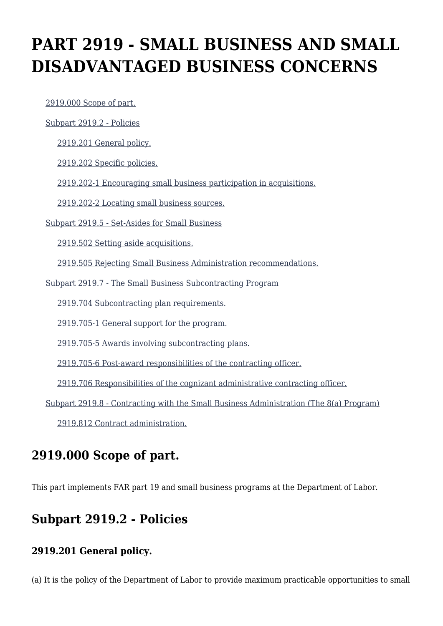# **PART 2919 - SMALL BUSINESS AND SMALL DISADVANTAGED BUSINESS CONCERNS**

[2919.000 Scope of part.](https://www.acquisition.gov/%5Brp:link:dolar-part-2919%5D#Section_2919_000_T48_701420011)

[Subpart 2919.2 - Policies](https://www.acquisition.gov/%5Brp:link:dolar-part-2919%5D#Subpart_2919_2_T48_7014201)

[2919.201 General policy.](https://www.acquisition.gov/%5Brp:link:dolar-part-2919%5D#Section_2919_201_T48_701420111)

[2919.202 Specific policies.](https://www.acquisition.gov/%5Brp:link:dolar-part-2919%5D#Section_2919_202_T48_701420112)

[2919.202-1 Encouraging small business participation in acquisitions.](https://www.acquisition.gov/%5Brp:link:dolar-part-2919%5D#Section_2919_202_1_T48_701420113)

[2919.202-2 Locating small business sources.](https://www.acquisition.gov/%5Brp:link:dolar-part-2919%5D#Section_2919_202_2_T48_701420114)

[Subpart 2919.5 - Set-Asides for Small Business](https://www.acquisition.gov/%5Brp:link:dolar-part-2919%5D#Subpart_2919_5_T48_7014202)

[2919.502 Setting aside acquisitions.](https://www.acquisition.gov/%5Brp:link:dolar-part-2919%5D#Section_2919_502_T48_701420211)

[2919.505 Rejecting Small Business Administration recommendations.](https://www.acquisition.gov/%5Brp:link:dolar-part-2919%5D#Section_2919_505_T48_701420212)

[Subpart 2919.7 - The Small Business Subcontracting Program](https://www.acquisition.gov/%5Brp:link:dolar-part-2919%5D#Subpart_2919_7_T48_7014203)

[2919.704 Subcontracting plan requirements.](https://www.acquisition.gov/%5Brp:link:dolar-part-2919%5D#Section_2919_704_T48_701420311)

[2919.705-1 General support for the program.](https://www.acquisition.gov/%5Brp:link:dolar-part-2919%5D#Section_2919_705_1_T48_701420312)

[2919.705-5 Awards involving subcontracting plans.](https://www.acquisition.gov/%5Brp:link:dolar-part-2919%5D#Section_2919_705_5_T48_701420313)

[2919.705-6 Post-award responsibilities of the contracting officer.](https://www.acquisition.gov/%5Brp:link:dolar-part-2919%5D#Section_2919_705_6_T48_701420314)

[2919.706 Responsibilities of the cognizant administrative contracting officer.](https://www.acquisition.gov/%5Brp:link:dolar-part-2919%5D#Section_2919_706_T48_701420315)

[Subpart 2919.8 - Contracting with the Small Business Administration \(The 8\(a\) Program\)](https://www.acquisition.gov/%5Brp:link:dolar-part-2919%5D#Subpart_2919_8_T48_7014204)

[2919.812 Contract administration.](https://www.acquisition.gov/%5Brp:link:dolar-part-2919%5D#Section_2919_812_T48_701420411)

### **2919.000 Scope of part.**

This part implements FAR part 19 and small business programs at the Department of Labor.

### **Subpart 2919.2 - Policies**

#### **2919.201 General policy.**

(a) It is the policy of the Department of Labor to provide maximum practicable opportunities to small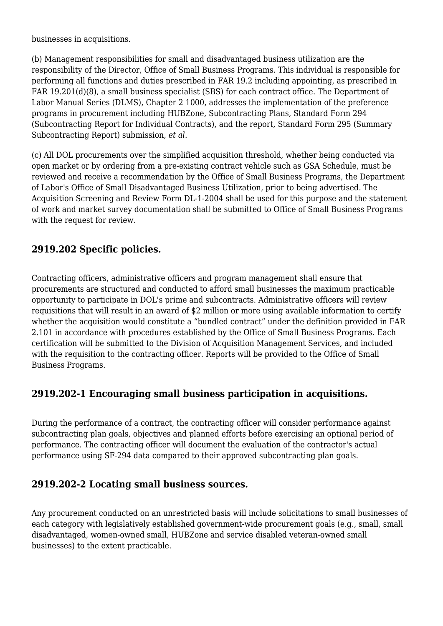businesses in acquisitions.

(b) Management responsibilities for small and disadvantaged business utilization are the responsibility of the Director, Office of Small Business Programs. This individual is responsible for performing all functions and duties prescribed in FAR 19.2 including appointing, as prescribed in FAR 19.201(d)(8), a small business specialist (SBS) for each contract office. The Department of Labor Manual Series (DLMS), Chapter 2 1000, addresses the implementation of the preference programs in procurement including HUBZone, Subcontracting Plans, Standard Form 294 (Subcontracting Report for Individual Contracts), and the report, Standard Form 295 (Summary Subcontracting Report) submission, *et al.*

(c) All DOL procurements over the simplified acquisition threshold, whether being conducted via open market or by ordering from a pre-existing contract vehicle such as GSA Schedule, must be reviewed and receive a recommendation by the Office of Small Business Programs, the Department of Labor's Office of Small Disadvantaged Business Utilization, prior to being advertised. The Acquisition Screening and Review Form DL-1-2004 shall be used for this purpose and the statement of work and market survey documentation shall be submitted to Office of Small Business Programs with the request for review.

#### **2919.202 Specific policies.**

Contracting officers, administrative officers and program management shall ensure that procurements are structured and conducted to afford small businesses the maximum practicable opportunity to participate in DOL's prime and subcontracts. Administrative officers will review requisitions that will result in an award of \$2 million or more using available information to certify whether the acquisition would constitute a "bundled contract" under the definition provided in FAR 2.101 in accordance with procedures established by the Office of Small Business Programs. Each certification will be submitted to the Division of Acquisition Management Services, and included with the requisition to the contracting officer. Reports will be provided to the Office of Small Business Programs.

#### **2919.202-1 Encouraging small business participation in acquisitions.**

During the performance of a contract, the contracting officer will consider performance against subcontracting plan goals, objectives and planned efforts before exercising an optional period of performance. The contracting officer will document the evaluation of the contractor's actual performance using SF-294 data compared to their approved subcontracting plan goals.

#### **2919.202-2 Locating small business sources.**

Any procurement conducted on an unrestricted basis will include solicitations to small businesses of each category with legislatively established government-wide procurement goals (e.g., small, small disadvantaged, women-owned small, HUBZone and service disabled veteran-owned small businesses) to the extent practicable.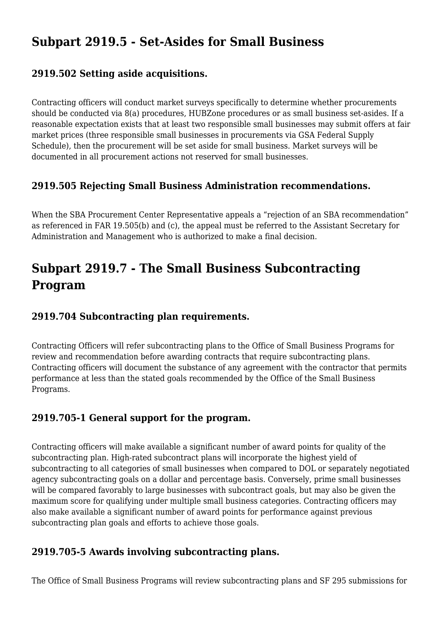## **Subpart 2919.5 - Set-Asides for Small Business**

#### **2919.502 Setting aside acquisitions.**

Contracting officers will conduct market surveys specifically to determine whether procurements should be conducted via 8(a) procedures, HUBZone procedures or as small business set-asides. If a reasonable expectation exists that at least two responsible small businesses may submit offers at fair market prices (three responsible small businesses in procurements via GSA Federal Supply Schedule), then the procurement will be set aside for small business. Market surveys will be documented in all procurement actions not reserved for small businesses.

#### **2919.505 Rejecting Small Business Administration recommendations.**

When the SBA Procurement Center Representative appeals a "rejection of an SBA recommendation" as referenced in FAR 19.505(b) and (c), the appeal must be referred to the Assistant Secretary for Administration and Management who is authorized to make a final decision.

# **Subpart 2919.7 - The Small Business Subcontracting Program**

#### **2919.704 Subcontracting plan requirements.**

Contracting Officers will refer subcontracting plans to the Office of Small Business Programs for review and recommendation before awarding contracts that require subcontracting plans. Contracting officers will document the substance of any agreement with the contractor that permits performance at less than the stated goals recommended by the Office of the Small Business Programs.

#### **2919.705-1 General support for the program.**

Contracting officers will make available a significant number of award points for quality of the subcontracting plan. High-rated subcontract plans will incorporate the highest yield of subcontracting to all categories of small businesses when compared to DOL or separately negotiated agency subcontracting goals on a dollar and percentage basis. Conversely, prime small businesses will be compared favorably to large businesses with subcontract goals, but may also be given the maximum score for qualifying under multiple small business categories. Contracting officers may also make available a significant number of award points for performance against previous subcontracting plan goals and efforts to achieve those goals.

#### **2919.705-5 Awards involving subcontracting plans.**

The Office of Small Business Programs will review subcontracting plans and SF 295 submissions for